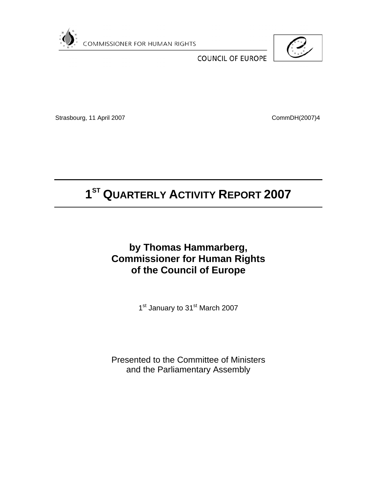

**COMMISSIONER FOR HUMAN RIGHTS** 



**COUNCIL OF EUROPE** 

Strasbourg, 11 April 2007 CommDH(2007)4

# **1ST QUARTERLY ACTIVITY REPORT 2007**

# **by Thomas Hammarberg, Commissioner for Human Rights of the Council of Europe**

1st January to 31st March 2007

Presented to the Committee of Ministers and the Parliamentary Assembly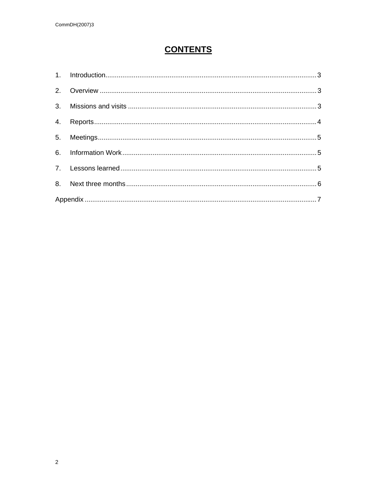# **CONTENTS**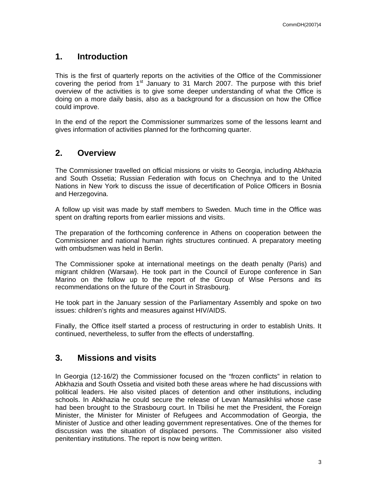## **1. Introduction**

This is the first of quarterly reports on the activities of the Office of the Commissioner covering the period from  $1<sup>st</sup>$  January to 31 March 2007. The purpose with this brief overview of the activities is to give some deeper understanding of what the Office is doing on a more daily basis, also as a background for a discussion on how the Office could improve.

In the end of the report the Commissioner summarizes some of the lessons learnt and gives information of activities planned for the forthcoming quarter.

#### **2. Overview**

The Commissioner travelled on official missions or visits to Georgia, including Abkhazia and South Ossetia; Russian Federation with focus on Chechnya and to the United Nations in New York to discuss the issue of decertification of Police Officers in Bosnia and Herzegovina.

A follow up visit was made by staff members to Sweden. Much time in the Office was spent on drafting reports from earlier missions and visits.

The preparation of the forthcoming conference in Athens on cooperation between the Commissioner and national human rights structures continued. A preparatory meeting with ombudsmen was held in Berlin.

The Commissioner spoke at international meetings on the death penalty (Paris) and migrant children (Warsaw). He took part in the Council of Europe conference in San Marino on the follow up to the report of the Group of Wise Persons and its recommendations on the future of the Court in Strasbourg.

He took part in the January session of the Parliamentary Assembly and spoke on two issues: children's rights and measures against HIV/AIDS.

Finally, the Office itself started a process of restructuring in order to establish Units. It continued, nevertheless, to suffer from the effects of understaffing.

#### **3. Missions and visits**

In Georgia (12-16/2) the Commissioner focused on the "frozen conflicts" in relation to Abkhazia and South Ossetia and visited both these areas where he had discussions with political leaders. He also visited places of detention and other institutions, including schools. In Abkhazia he could secure the release of Levan Mamasikhlisi whose case had been brought to the Strasbourg court. In Tbilisi he met the President, the Foreign Minister, the Minister for Minister of Refugees and Accommodation of Georgia, the Minister of Justice and other leading government representatives. One of the themes for discussion was the situation of displaced persons. The Commissioner also visited penitentiary institutions. The report is now being written.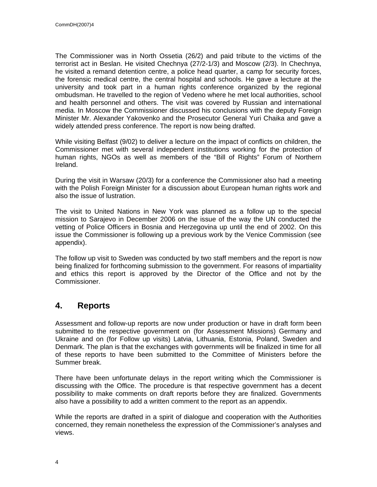The Commissioner was in North Ossetia (26/2) and paid tribute to the victims of the terrorist act in Beslan. He visited Chechnya (27/2-1/3) and Moscow (2/3). In Chechnya, he visited a remand detention centre, a police head quarter, a camp for security forces, the forensic medical centre, the central hospital and schools. He gave a lecture at the university and took part in a human rights conference organized by the regional ombudsman. He travelled to the region of Vedeno where he met local authorities, school and health personnel and others. The visit was covered by Russian and international media. In Moscow the Commissioner discussed his conclusions with the deputy Foreign Minister Mr. Alexander Yakovenko and the Prosecutor General Yuri Chaika and gave a widely attended press conference. The report is now being drafted.

While visiting Belfast (9/02) to deliver a lecture on the impact of conflicts on children, the Commissioner met with several independent institutions working for the protection of human rights, NGOs as well as members of the "Bill of Rights" Forum of Northern Ireland.

During the visit in Warsaw (20/3) for a conference the Commissioner also had a meeting with the Polish Foreign Minister for a discussion about European human rights work and also the issue of lustration.

The visit to United Nations in New York was planned as a follow up to the special mission to Sarajevo in December 2006 on the issue of the way the UN conducted the vetting of Police Officers in Bosnia and Herzegovina up until the end of 2002. On this issue the Commissioner is following up a previous work by the Venice Commission (see appendix).

The follow up visit to Sweden was conducted by two staff members and the report is now being finalized for forthcoming submission to the government. For reasons of impartiality and ethics this report is approved by the Director of the Office and not by the Commissioner.

## **4. Reports**

Assessment and follow-up reports are now under production or have in draft form been submitted to the respective government on (for Assessment Missions) Germany and Ukraine and on (for Follow up visits) Latvia, Lithuania, Estonia, Poland, Sweden and Denmark. The plan is that the exchanges with governments will be finalized in time for all of these reports to have been submitted to the Committee of Ministers before the Summer break.

There have been unfortunate delays in the report writing which the Commissioner is discussing with the Office. The procedure is that respective government has a decent possibility to make comments on draft reports before they are finalized. Governments also have a possibility to add a written comment to the report as an appendix.

While the reports are drafted in a spirit of dialogue and cooperation with the Authorities concerned, they remain nonetheless the expression of the Commissioner's analyses and views.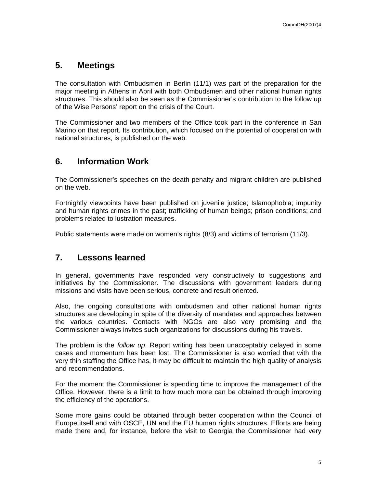#### **5. Meetings**

The consultation with Ombudsmen in Berlin (11/1) was part of the preparation for the major meeting in Athens in April with both Ombudsmen and other national human rights structures. This should also be seen as the Commissioner's contribution to the follow up of the Wise Persons' report on the crisis of the Court.

The Commissioner and two members of the Office took part in the conference in San Marino on that report. Its contribution, which focused on the potential of cooperation with national structures, is published on the web.

#### **6. Information Work**

The Commissioner's speeches on the death penalty and migrant children are published on the web.

Fortnightly viewpoints have been published on juvenile justice; Islamophobia; impunity and human rights crimes in the past; trafficking of human beings; prison conditions; and problems related to lustration measures.

Public statements were made on women's rights (8/3) and victims of terrorism (11/3).

#### **7. Lessons learned**

In general, governments have responded very constructively to suggestions and initiatives by the Commissioner. The discussions with government leaders during missions and visits have been serious, concrete and result oriented.

Also, the ongoing consultations with ombudsmen and other national human rights structures are developing in spite of the diversity of mandates and approaches between the various countries. Contacts with NGOs are also very promising and the Commissioner always invites such organizations for discussions during his travels.

The problem is the *follow up*. Report writing has been unacceptably delayed in some cases and momentum has been lost. The Commissioner is also worried that with the very thin staffing the Office has, it may be difficult to maintain the high quality of analysis and recommendations.

For the moment the Commissioner is spending time to improve the management of the Office. However, there is a limit to how much more can be obtained through improving the efficiency of the operations.

Some more gains could be obtained through better cooperation within the Council of Europe itself and with OSCE, UN and the EU human rights structures. Efforts are being made there and, for instance, before the visit to Georgia the Commissioner had very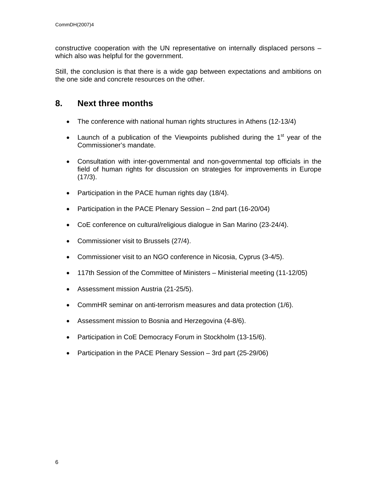constructive cooperation with the UN representative on internally displaced persons – which also was helpful for the government.

Still, the conclusion is that there is a wide gap between expectations and ambitions on the one side and concrete resources on the other.

## **8. Next three months**

- The conference with national human rights structures in Athens (12-13/4)
- Launch of a publication of the Viewpoints published during the  $1<sup>st</sup>$  year of the Commissioner's mandate.
- Consultation with inter-governmental and non-governmental top officials in the field of human rights for discussion on strategies for improvements in Europe (17/3).
- Participation in the PACE human rights day (18/4).
- Participation in the PACE Plenary Session 2nd part (16-20/04)
- CoE conference on cultural/religious dialogue in San Marino (23-24/4).
- Commissioner visit to Brussels (27/4).
- Commissioner visit to an NGO conference in Nicosia, Cyprus (3-4/5).
- 117th Session of the Committee of Ministers Ministerial meeting (11-12/05)
- Assessment mission Austria (21-25/5).
- CommHR seminar on anti-terrorism measures and data protection (1/6).
- Assessment mission to Bosnia and Herzegovina (4-8/6).
- Participation in CoE Democracy Forum in Stockholm (13-15/6).
- Participation in the PACE Plenary Session 3rd part (25-29/06)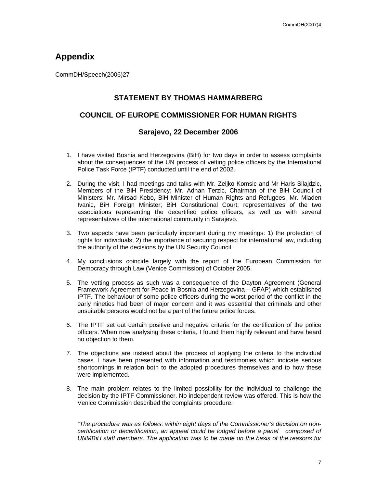## **Appendix**

CommDH/Speech(2006)27

#### **STATEMENT BY THOMAS HAMMARBERG**

#### **COUNCIL OF EUROPE COMMISSIONER FOR HUMAN RIGHTS**

#### **Sarajevo, 22 December 2006**

- 1. I have visited Bosnia and Herzegovina (BiH) for two days in order to assess complaints about the consequences of the UN process of vetting police officers by the International Police Task Force (IPTF) conducted until the end of 2002.
- 2. During the visit, I had meetings and talks with Mr. Zeljko Komsic and Mr Haris Silajdzic, Members of the BiH Presidency; Mr. Adnan Terzic, Chairman of the BiH Council of Ministers; Mr. Mirsad Kebo, BiH Minister of Human Rights and Refugees, Mr. Mladen Ivanic, BiH Foreign Minister; BiH Constitutional Court; representatives of the two associations representing the decertified police officers, as well as with several representatives of the international community in Sarajevo.
- 3. Two aspects have been particularly important during my meetings: 1) the protection of rights for individuals, 2) the importance of securing respect for international law, including the authority of the decisions by the UN Security Council.
- 4. My conclusions coincide largely with the report of the European Commission for Democracy through Law (Venice Commission) of October 2005.
- 5. The vetting process as such was a consequence of the Dayton Agreement (General Framework Agreement for Peace in Bosnia and Herzegovina – GFAP) which established IPTF. The behaviour of some police officers during the worst period of the conflict in the early nineties had been of major concern and it was essential that criminals and other unsuitable persons would not be a part of the future police forces.
- 6. The IPTF set out certain positive and negative criteria for the certification of the police officers. When now analysing these criteria, I found them highly relevant and have heard no objection to them.
- 7. The objections are instead about the process of applying the criteria to the individual cases. I have been presented with information and testimonies which indicate serious shortcomings in relation both to the adopted procedures themselves and to how these were implemented.
- 8. The main problem relates to the limited possibility for the individual to challenge the decision by the IPTF Commissioner. No independent review was offered. This is how the Venice Commission described the complaints procedure:

*"The procedure was as follows: within eight days of the Commissioner's decision on noncertification or decertification, an appeal could be lodged before a panel composed of UNMBiH staff members. The application was to be made on the basis of the reasons for*